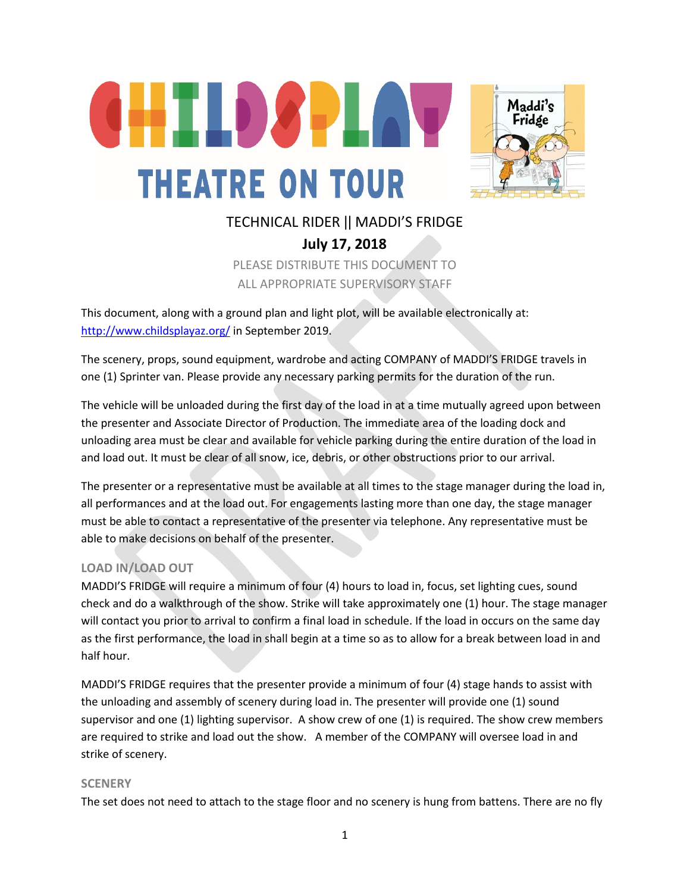



# TECHNICAL RIDER ǀǀ MADDI'S FRIDGE **July 17, 2018** PLEASE DISTRIBUTE THIS DOCUMENT TO ALL APPROPRIATE SUPERVISORY STAFF

This document, along with a ground plan and light plot, will be available electronically at: <http://www.childsplayaz.org/> in September 2019.

The scenery, props, sound equipment, wardrobe and acting COMPANY of MADDI'S FRIDGE travels in one (1) Sprinter van. Please provide any necessary parking permits for the duration of the run.

The vehicle will be unloaded during the first day of the load in at a time mutually agreed upon between the presenter and Associate Director of Production. The immediate area of the loading dock and unloading area must be clear and available for vehicle parking during the entire duration of the load in and load out. It must be clear of all snow, ice, debris, or other obstructions prior to our arrival.

The presenter or a representative must be available at all times to the stage manager during the load in, all performances and at the load out. For engagements lasting more than one day, the stage manager must be able to contact a representative of the presenter via telephone. Any representative must be able to make decisions on behalf of the presenter.

### **LOAD IN/LOAD OUT**

MADDI'S FRIDGE will require a minimum of four (4) hours to load in, focus, set lighting cues, sound check and do a walkthrough of the show. Strike will take approximately one (1) hour. The stage manager will contact you prior to arrival to confirm a final load in schedule. If the load in occurs on the same day as the first performance, the load in shall begin at a time so as to allow for a break between load in and half hour.

MADDI'S FRIDGE requires that the presenter provide a minimum of four (4) stage hands to assist with the unloading and assembly of scenery during load in. The presenter will provide one (1) sound supervisor and one (1) lighting supervisor. A show crew of one (1) is required. The show crew members are required to strike and load out the show. A member of the COMPANY will oversee load in and strike of scenery.

### **SCENERY**

The set does not need to attach to the stage floor and no scenery is hung from battens. There are no fly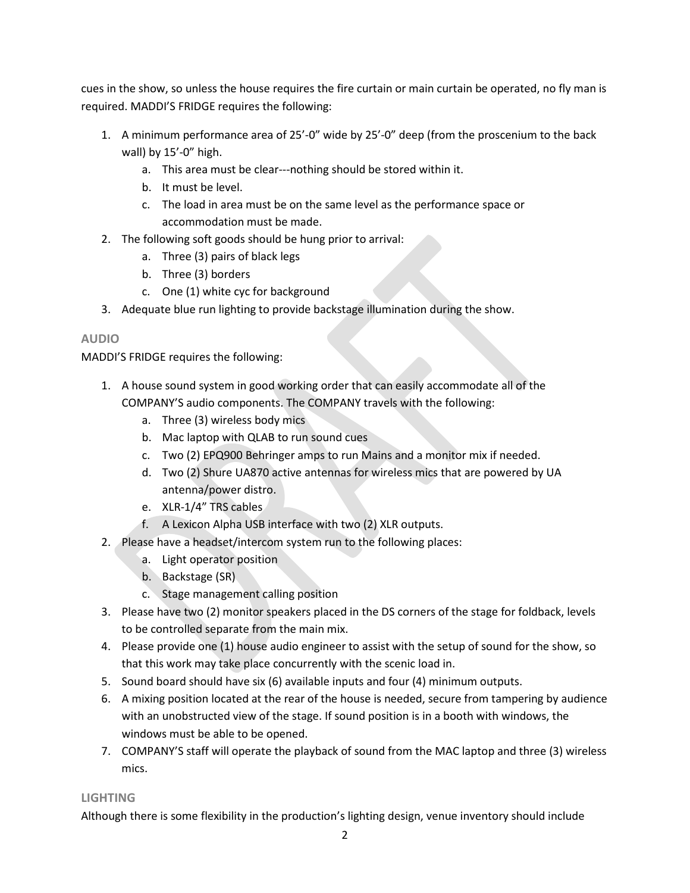cues in the show, so unless the house requires the fire curtain or main curtain be operated, no fly man is required. MADDI'S FRIDGE requires the following:

- 1. A minimum performance area of 25'-0" wide by 25'-0" deep (from the proscenium to the back wall) by 15'-0" high.
	- a. This area must be clear---nothing should be stored within it.
	- b. It must be level.
	- c. The load in area must be on the same level as the performance space or accommodation must be made.
- 2. The following soft goods should be hung prior to arrival:
	- a. Three (3) pairs of black legs
	- b. Three (3) borders
	- c. One (1) white cyc for background
- 3. Adequate blue run lighting to provide backstage illumination during the show.

# **AUDIO**

MADDI'S FRIDGE requires the following:

- 1. A house sound system in good working order that can easily accommodate all of the COMPANY'S audio components. The COMPANY travels with the following:
	- a. Three (3) wireless body mics
	- b. Mac laptop with QLAB to run sound cues
	- c. Two (2) EPQ900 Behringer amps to run Mains and a monitor mix if needed.
	- d. Two (2) Shure UA870 active antennas for wireless mics that are powered by UA antenna/power distro.
	- e. XLR-1/4" TRS cables
	- f. A Lexicon Alpha USB interface with two (2) XLR outputs.
- 2. Please have a headset/intercom system run to the following places:
	- a. Light operator position
	- b. Backstage (SR)
	- c. Stage management calling position
- 3. Please have two (2) monitor speakers placed in the DS corners of the stage for foldback, levels to be controlled separate from the main mix.
- 4. Please provide one (1) house audio engineer to assist with the setup of sound for the show, so that this work may take place concurrently with the scenic load in.
- 5. Sound board should have six (6) available inputs and four (4) minimum outputs.
- 6. A mixing position located at the rear of the house is needed, secure from tampering by audience with an unobstructed view of the stage. If sound position is in a booth with windows, the windows must be able to be opened.
- 7. COMPANY'S staff will operate the playback of sound from the MAC laptop and three (3) wireless mics.

# **LIGHTING**

Although there is some flexibility in the production's lighting design, venue inventory should include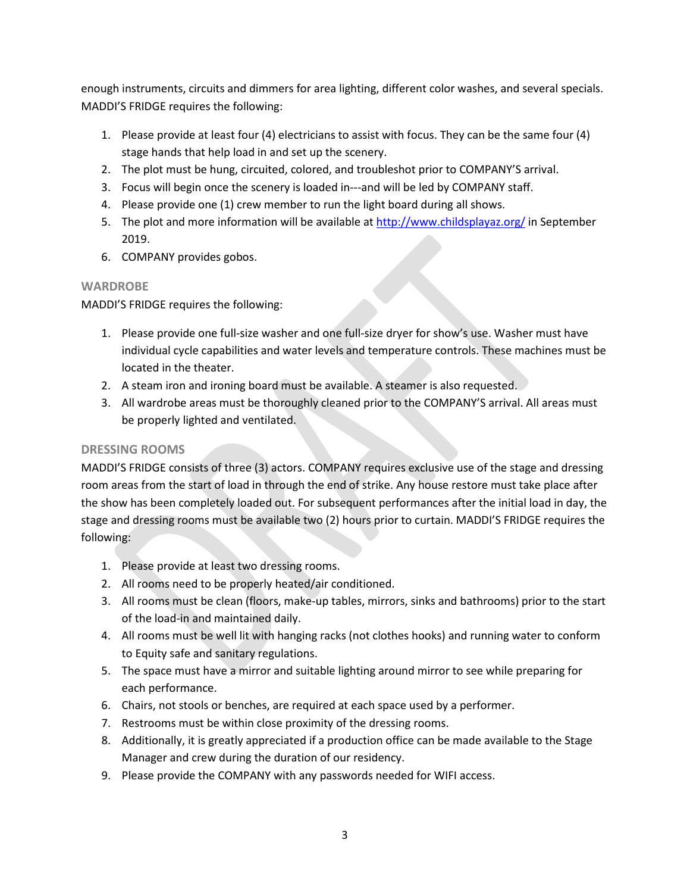enough instruments, circuits and dimmers for area lighting, different color washes, and several specials. MADDI'S FRIDGE requires the following:

- 1. Please provide at least four (4) electricians to assist with focus. They can be the same four (4) stage hands that help load in and set up the scenery.
- 2. The plot must be hung, circuited, colored, and troubleshot prior to COMPANY'S arrival.
- 3. Focus will begin once the scenery is loaded in---and will be led by COMPANY staff.
- 4. Please provide one (1) crew member to run the light board during all shows.
- 5. The plot and more information will be available at<http://www.childsplayaz.org/> in September 2019.
- 6. COMPANY provides gobos.

## **WARDROBE**

MADDI'S FRIDGE requires the following:

- 1. Please provide one full-size washer and one full-size dryer for show's use. Washer must have individual cycle capabilities and water levels and temperature controls. These machines must be located in the theater.
- 2. A steam iron and ironing board must be available. A steamer is also requested.
- 3. All wardrobe areas must be thoroughly cleaned prior to the COMPANY'S arrival. All areas must be properly lighted and ventilated.

# **DRESSING ROOMS**

MADDI'S FRIDGE consists of three (3) actors. COMPANY requires exclusive use of the stage and dressing room areas from the start of load in through the end of strike. Any house restore must take place after the show has been completely loaded out. For subsequent performances after the initial load in day, the stage and dressing rooms must be available two (2) hours prior to curtain. MADDI'S FRIDGE requires the following:

- 1. Please provide at least two dressing rooms.
- 2. All rooms need to be properly heated/air conditioned.
- 3. All rooms must be clean (floors, make-up tables, mirrors, sinks and bathrooms) prior to the start of the load-in and maintained daily.
- 4. All rooms must be well lit with hanging racks (not clothes hooks) and running water to conform to Equity safe and sanitary regulations.
- 5. The space must have a mirror and suitable lighting around mirror to see while preparing for each performance.
- 6. Chairs, not stools or benches, are required at each space used by a performer.
- 7. Restrooms must be within close proximity of the dressing rooms.
- 8. Additionally, it is greatly appreciated if a production office can be made available to the Stage Manager and crew during the duration of our residency.
- 9. Please provide the COMPANY with any passwords needed for WIFI access.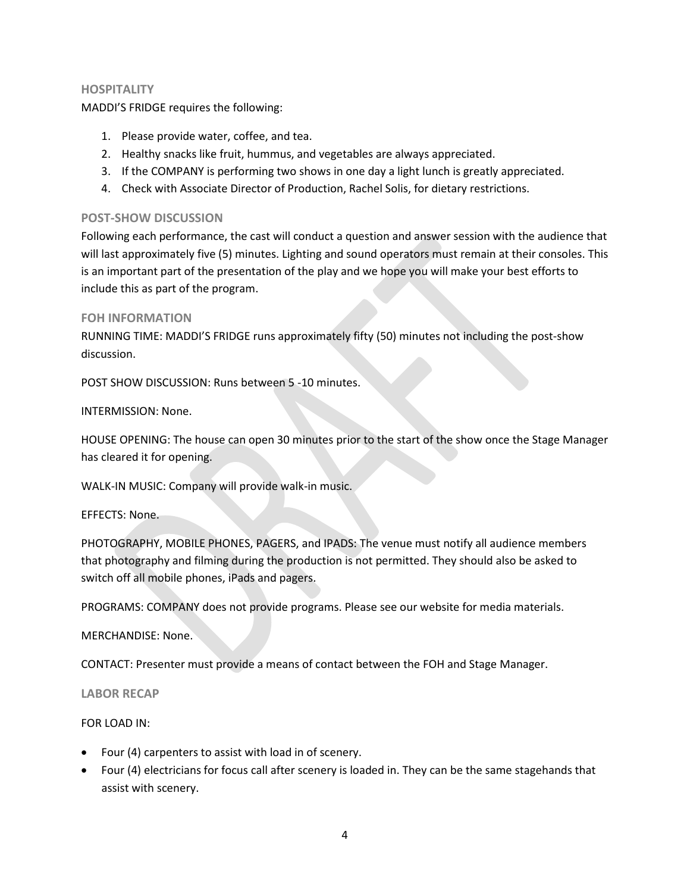### **HOSPITALITY**

MADDI'S FRIDGE requires the following:

- 1. Please provide water, coffee, and tea.
- 2. Healthy snacks like fruit, hummus, and vegetables are always appreciated.
- 3. If the COMPANY is performing two shows in one day a light lunch is greatly appreciated.
- 4. Check with Associate Director of Production, Rachel Solis, for dietary restrictions.

### **POST-SHOW DISCUSSION**

Following each performance, the cast will conduct a question and answer session with the audience that will last approximately five (5) minutes. Lighting and sound operators must remain at their consoles. This is an important part of the presentation of the play and we hope you will make your best efforts to include this as part of the program.

### **FOH INFORMATION**

RUNNING TIME: MADDI'S FRIDGE runs approximately fifty (50) minutes not including the post-show discussion.

POST SHOW DISCUSSION: Runs between 5 -10 minutes.

INTERMISSION: None.

HOUSE OPENING: The house can open 30 minutes prior to the start of the show once the Stage Manager has cleared it for opening.

WALK-IN MUSIC: Company will provide walk-in music.

### EFFECTS: None.

PHOTOGRAPHY, MOBILE PHONES, PAGERS, and IPADS: The venue must notify all audience members that photography and filming during the production is not permitted. They should also be asked to switch off all mobile phones, iPads and pagers.

PROGRAMS: COMPANY does not provide programs. Please see our website for media materials.

MERCHANDISE: None.

CONTACT: Presenter must provide a means of contact between the FOH and Stage Manager.

**LABOR RECAP**

FOR LOAD IN:

- Four (4) carpenters to assist with load in of scenery.
- Four (4) electricians for focus call after scenery is loaded in. They can be the same stagehands that assist with scenery.